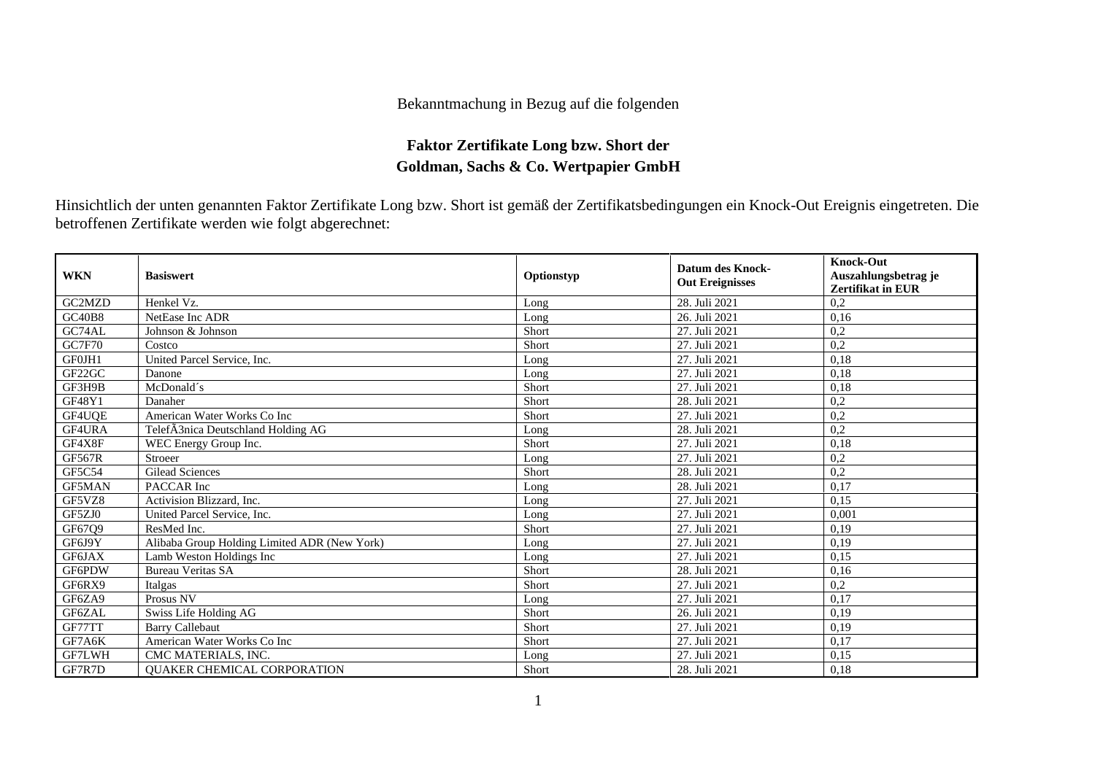## Bekanntmachung in Bezug auf die folgenden

## **Faktor Zertifikate Long bzw. Short der Goldman, Sachs & Co. Wertpapier GmbH**

Hinsichtlich der unten genannten Faktor Zertifikate Long bzw. Short ist gemäß der Zertifikatsbedingungen ein Knock-Out Ereignis eingetreten. Die betroffenen Zertifikate werden wie folgt abgerechnet:

| <b>WKN</b>    | <b>Basiswert</b>                               | Optionstyp | <b>Datum des Knock-</b><br><b>Out Ereignisses</b> | <b>Knock-Out</b><br>Auszahlungsbetrag je<br>Zertifikat in EUR |
|---------------|------------------------------------------------|------------|---------------------------------------------------|---------------------------------------------------------------|
| GC2MZD        | Henkel Vz.                                     | Long       | 28. Juli 2021                                     | 0,2                                                           |
| <b>GC40B8</b> | NetEase Inc ADR                                | Long       | 26. Juli 2021                                     | 0,16                                                          |
| GC74AL        | Johnson & Johnson                              | Short      | 27. Juli 2021                                     | 0,2                                                           |
| <b>GC7F70</b> | Costco                                         | Short      | 27. Juli 2021                                     | 0,2                                                           |
| GF0JH1        | United Parcel Service, Inc.                    | Long       | 27. Juli 2021                                     | 0,18                                                          |
| GF22GC        | Danone                                         | Long       | 27. Juli 2021                                     | 0.18                                                          |
| GF3H9B        | McDonald's                                     | Short      | 27. Juli 2021                                     | 0,18                                                          |
| GF48Y1        | Danaher                                        | Short      | 28. Juli 2021                                     | 0,2                                                           |
| GF4UQE        | American Water Works Co Inc                    | Short      | 27. Juli 2021                                     | 0,2                                                           |
| GF4URA        | Telef $\tilde{A}$ 3nica Deutschland Holding AG | Long       | 28. Juli 2021                                     | 0,2                                                           |
| GF4X8F        | WEC Energy Group Inc.                          | Short      | 27. Juli 2021                                     | 0,18                                                          |
| <b>GF567R</b> | Stroeer                                        | Long       | 27. Juli 2021                                     | 0,2                                                           |
| GF5C54        | <b>Gilead Sciences</b>                         | Short      | 28. Juli 2021                                     | 0,2                                                           |
| <b>GF5MAN</b> | PACCAR Inc                                     | Long       | 28. Juli 2021                                     | 0,17                                                          |
| GF5VZ8        | Activision Blizzard, Inc.                      | Long       | 27. Juli 2021                                     | 0,15                                                          |
| GF5ZJ0        | United Parcel Service, Inc.                    | Long       | 27. Juli 2021                                     | 0.001                                                         |
| GF67Q9        | ResMed Inc.                                    | Short      | 27. Juli 2021                                     | 0.19                                                          |
| GF6J9Y        | Alibaba Group Holding Limited ADR (New York)   | Long       | 27. Juli 2021                                     | 0,19                                                          |
| GF6JAX        | Lamb Weston Holdings Inc                       | Long       | 27. Juli 2021                                     | 0,15                                                          |
| GF6PDW        | <b>Bureau Veritas SA</b>                       | Short      | 28. Juli 2021                                     | 0,16                                                          |
| GF6RX9        | Italgas                                        | Short      | 27. Juli 2021                                     | 0,2                                                           |
| GF6ZA9        | Prosus NV                                      | Long       | 27. Juli 2021                                     | 0.17                                                          |
| GF6ZAL        | Swiss Life Holding AG                          | Short      | 26. Juli 2021                                     | 0.19                                                          |
| GF77TT        | <b>Barry Callebaut</b>                         | Short      | 27. Juli 2021                                     | 0,19                                                          |
| GF7A6K        | American Water Works Co Inc                    | Short      | 27. Juli 2021                                     | 0,17                                                          |
| GF7LWH        | CMC MATERIALS, INC.                            | Long       | 27. Juli 2021                                     | 0,15                                                          |
| GF7R7D        | QUAKER CHEMICAL CORPORATION                    | Short      | 28. Juli 2021                                     | 0,18                                                          |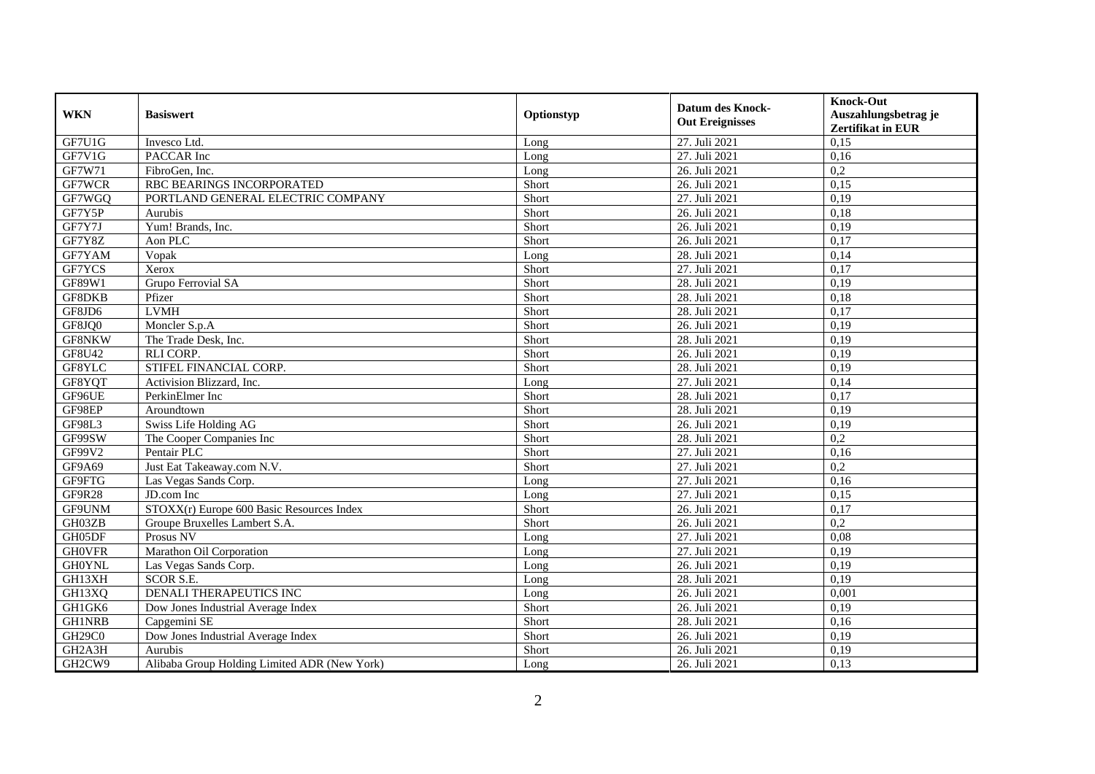| <b>WKN</b>    | <b>Basiswert</b>                             | Optionstyp | <b>Datum des Knock-</b><br><b>Out Ereignisses</b> | <b>Knock-Out</b><br>Auszahlungsbetrag je<br><b>Zertifikat in EUR</b> |
|---------------|----------------------------------------------|------------|---------------------------------------------------|----------------------------------------------------------------------|
| GF7U1G        | Invesco Ltd.                                 | Long       | 27. Juli 2021                                     | 0,15                                                                 |
| GF7V1G        | PACCAR Inc                                   | Long       | 27. Juli 2021                                     | 0,16                                                                 |
| GF7W71        | FibroGen, Inc.                               | Long       | 26. Juli 2021                                     | 0,2                                                                  |
| GF7WCR        | RBC BEARINGS INCORPORATED                    | Short      | 26. Juli 2021                                     | 0,15                                                                 |
| GF7WGQ        | PORTLAND GENERAL ELECTRIC COMPANY            | Short      | 27. Juli 2021                                     | 0,19                                                                 |
| GF7Y5P        | Aurubis                                      | Short      | 26. Juli 2021                                     | 0,18                                                                 |
| GF7Y7J        | Yum! Brands, Inc.                            | Short      | 26. Juli 2021                                     | 0,19                                                                 |
| GF7Y8Z        | Aon PLC                                      | Short      | 26. Juli 2021                                     | 0,17                                                                 |
| GF7YAM        | Vopak                                        | Long       | 28. Juli 2021                                     | 0,14                                                                 |
| GF7YCS        | Xerox                                        | Short      | 27. Juli 2021                                     | 0,17                                                                 |
| GF89W1        | Grupo Ferrovial SA                           | Short      | 28. Juli 2021                                     | 0,19                                                                 |
| GF8DKB        | Pfizer                                       | Short      | 28. Juli 2021                                     | 0,18                                                                 |
| GF8JD6        | <b>LVMH</b>                                  | Short      | 28. Juli 2021                                     | 0,17                                                                 |
| GF8JQ0        | Moncler S.p.A                                | Short      | 26. Juli 2021                                     | 0,19                                                                 |
| GF8NKW        | The Trade Desk, Inc.                         | Short      | 28. Juli 2021                                     | 0,19                                                                 |
| GF8U42        | <b>RLI CORP.</b>                             | Short      | 26. Juli 2021                                     | 0,19                                                                 |
| GF8YLC        | STIFEL FINANCIAL CORP.                       | Short      | 28. Juli 2021                                     | 0,19                                                                 |
| GF8YQT        | Activision Blizzard, Inc.                    | Long       | 27. Juli 2021                                     | 0,14                                                                 |
| GF96UE        | PerkinElmer Inc                              | Short      | 28. Juli 2021                                     | 0,17                                                                 |
| GF98EP        | Aroundtown                                   | Short      | 28. Juli 2021                                     | 0,19                                                                 |
| GF98L3        | Swiss Life Holding AG                        | Short      | 26. Juli 2021                                     | 0,19                                                                 |
| GF99SW        | The Cooper Companies Inc                     | Short      | 28. Juli 2021                                     | 0,2                                                                  |
| GF99V2        | Pentair PLC                                  | Short      | 27. Juli 2021                                     | 0,16                                                                 |
| GF9A69        | Just Eat Takeaway.com N.V.                   | Short      | 27. Juli 2021                                     | 0,2                                                                  |
| GF9FTG        | Las Vegas Sands Corp.                        | Long       | 27. Juli 2021                                     | 0,16                                                                 |
| GF9R28        | JD.com Inc                                   | Long       | 27. Juli 2021                                     | 0,15                                                                 |
| GF9UNM        | $STOXX(r)$ Europe 600 Basic Resources Index  | Short      | 26. Juli 2021                                     | 0,17                                                                 |
| GH03ZB        | Groupe Bruxelles Lambert S.A.                | Short      | 26. Juli 2021                                     | 0,2                                                                  |
| GH05DF        | Prosus NV                                    | Long       | 27. Juli 2021                                     | 0,08                                                                 |
| <b>GHOVFR</b> | Marathon Oil Corporation                     | Long       | 27. Juli 2021                                     | 0,19                                                                 |
| <b>GH0YNL</b> | Las Vegas Sands Corp.                        | Long       | 26. Juli 2021                                     | 0,19                                                                 |
| GH13XH        | <b>SCOR S.E.</b>                             | Long       | 28. Juli 2021                                     | 0,19                                                                 |
| GH13XQ        | <b>DENALI THERAPEUTICS INC</b>               | Long       | 26. Juli 2021                                     | 0,001                                                                |
| GH1GK6        | Dow Jones Industrial Average Index           | Short      | 26. Juli 2021                                     | 0,19                                                                 |
| <b>GH1NRB</b> | Capgemini SE                                 | Short      | 28. Juli 2021                                     | 0,16                                                                 |
| <b>GH29C0</b> | Dow Jones Industrial Average Index           | Short      | 26. Juli 2021                                     | 0,19                                                                 |
| GH2A3H        | Aurubis                                      | Short      | 26. Juli 2021                                     | 0,19                                                                 |
| GH2CW9        | Alibaba Group Holding Limited ADR (New York) | Long       | 26. Juli 2021                                     | 0,13                                                                 |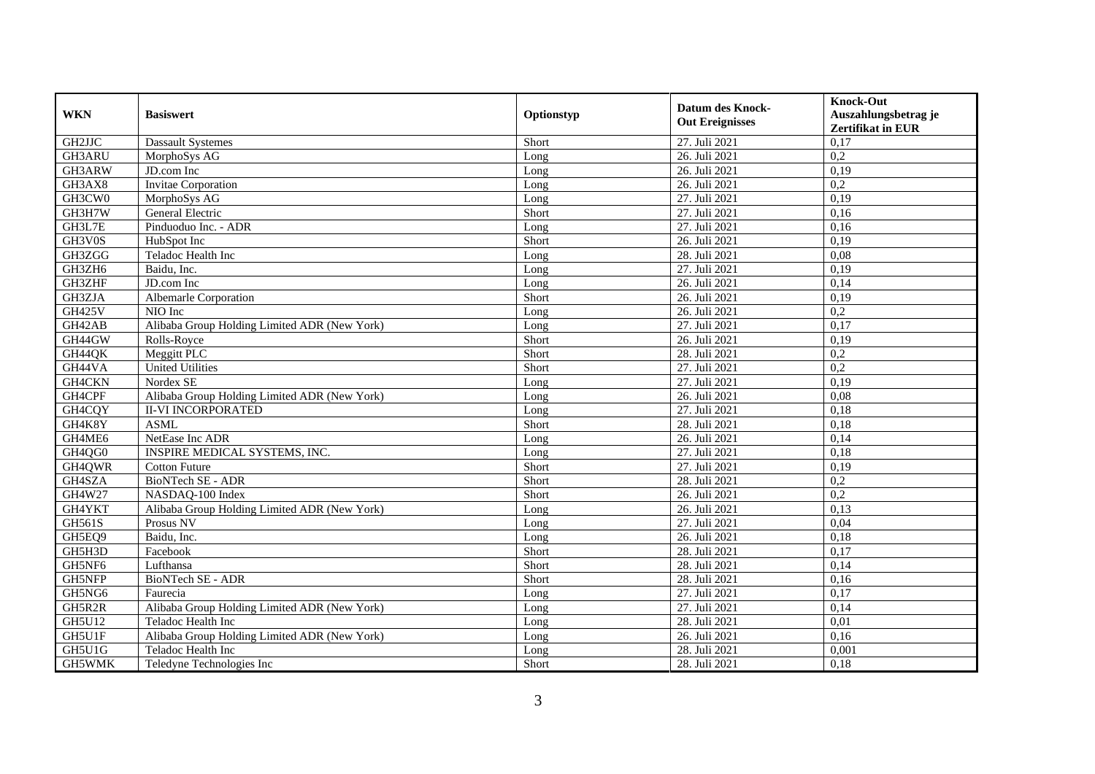| <b>WKN</b>    | <b>Basiswert</b>                             | Optionstyp | <b>Datum des Knock-</b><br><b>Out Ereignisses</b> | <b>Knock-Out</b><br>Auszahlungsbetrag je<br>Zertifikat in EUR |
|---------------|----------------------------------------------|------------|---------------------------------------------------|---------------------------------------------------------------|
| GH2JJC        | <b>Dassault Systemes</b>                     | Short      | 27. Juli 2021                                     | 0,17                                                          |
| GH3ARU        | MorphoSys AG                                 | Long       | 26. Juli 2021                                     | 0,2                                                           |
| GH3ARW        | $\overline{JD}$ .com Inc                     | Long       | 26. Juli 2021                                     | 0,19                                                          |
| GH3AX8        | <b>Invitae Corporation</b>                   | Long       | 26. Juli 2021                                     | 0,2                                                           |
| GH3CW0        | MorphoSys AG                                 | Long       | 27. Juli 2021                                     | 0,19                                                          |
| GH3H7W        | General Electric                             | Short      | 27. Juli 2021                                     | 0.16                                                          |
| GH3L7E        | Pinduoduo Inc. - ADR                         | Long       | 27. Juli 2021                                     | 0,16                                                          |
| GH3V0S        | HubSpot Inc                                  | Short      | 26. Juli 2021                                     | 0,19                                                          |
| GH3ZGG        | Teladoc Health Inc                           | Long       | 28. Juli 2021                                     | 0,08                                                          |
| GH3ZH6        | Baidu, Inc.                                  | Long       | 27. Juli 2021                                     | 0,19                                                          |
| GH3ZHF        | JD.com Inc                                   | Long       | 26. Juli 2021                                     | 0,14                                                          |
| GH3ZJA        | Albemarle Corporation                        | Short      | 26. Juli 2021                                     | 0,19                                                          |
| <b>GH425V</b> | NIO Inc                                      | Long       | 26. Juli 2021                                     | 0,2                                                           |
| GH42AB        | Alibaba Group Holding Limited ADR (New York) | Long       | 27. Juli 2021                                     | 0,17                                                          |
| GH44GW        | Rolls-Royce                                  | Short      | 26. Juli 2021                                     | 0,19                                                          |
| GH44QK        | Meggitt PLC                                  | Short      | 28. Juli 2021                                     | 0,2                                                           |
| GH44VA        | <b>United Utilities</b>                      | Short      | 27. Juli 2021                                     | 0,2                                                           |
| GH4CKN        | Nordex SE                                    | Long       | 27. Juli 2021                                     | 0,19                                                          |
| GH4CPF        | Alibaba Group Holding Limited ADR (New York) | Long       | 26. Juli 2021                                     | 0,08                                                          |
| GH4CQY        | <b>II-VI INCORPORATED</b>                    | Long       | 27. Juli 2021                                     | 0,18                                                          |
| GH4K8Y        | <b>ASML</b>                                  | Short      | 28. Juli 2021                                     | 0,18                                                          |
| GH4ME6        | NetEase Inc ADR                              | Long       | 26. Juli 2021                                     | 0,14                                                          |
| GH4QG0        | INSPIRE MEDICAL SYSTEMS, INC.                | Long       | 27. Juli 2021                                     | 0,18                                                          |
| GH4QWR        | <b>Cotton Future</b>                         | Short      | 27. Juli 2021                                     | 0,19                                                          |
| GH4SZA        | BioNTech SE - ADR                            | Short      | 28. Juli 2021                                     | 0,2                                                           |
| GH4W27        | NASDAQ-100 Index                             | Short      | 26. Juli 2021                                     | 0,2                                                           |
| GH4YKT        | Alibaba Group Holding Limited ADR (New York) | Long       | 26. Juli 2021                                     | 0,13                                                          |
| <b>GH561S</b> | Prosus NV                                    | Long       | 27. Juli 2021                                     | 0,04                                                          |
| GH5EQ9        | Baidu, Inc.                                  | Long       | 26. Juli 2021                                     | 0,18                                                          |
| GH5H3D        | Facebook                                     | Short      | 28. Juli 2021                                     | 0,17                                                          |
| GH5NF6        | Lufthansa                                    | Short      | 28. Juli 2021                                     | 0,14                                                          |
| GH5NFP        | BioNTech SE - ADR                            | Short      | 28. Juli 2021                                     | 0,16                                                          |
| GH5NG6        | Faurecia                                     | Long       | 27. Juli 2021                                     | 0,17                                                          |
| GH5R2R        | Alibaba Group Holding Limited ADR (New York) | Long       | 27. Juli 2021                                     | 0,14                                                          |
| <b>GH5U12</b> | Teladoc Health Inc                           | Long       | 28. Juli 2021                                     | 0,01                                                          |
| GH5U1F        | Alibaba Group Holding Limited ADR (New York) | Long       | 26. Juli 2021                                     | 0,16                                                          |
| GH5U1G        | Teladoc Health Inc                           | Long       | 28. Juli 2021                                     | 0,001                                                         |
| GH5WMK        | Teledyne Technologies Inc                    | Short      | 28. Juli 2021                                     | 0,18                                                          |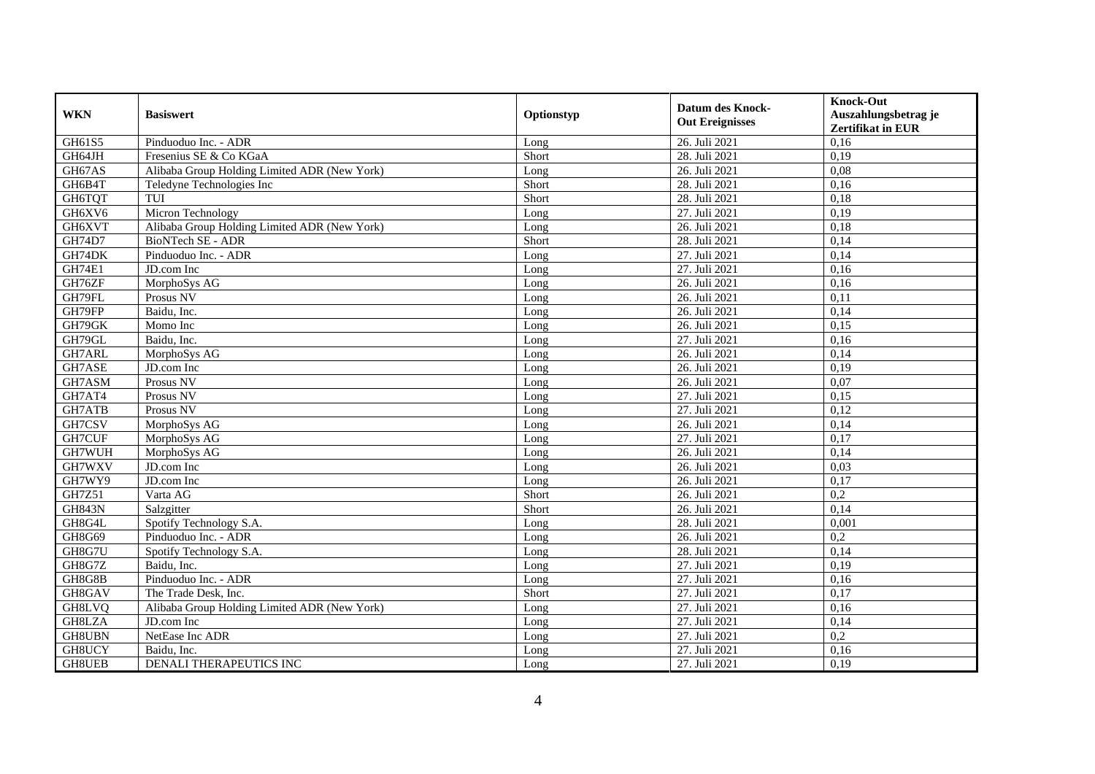| <b>WKN</b>    | <b>Basiswert</b>                             | Optionstyp | <b>Datum des Knock-</b><br><b>Out Ereignisses</b> | <b>Knock-Out</b><br>Auszahlungsbetrag je<br><b>Zertifikat in EUR</b> |
|---------------|----------------------------------------------|------------|---------------------------------------------------|----------------------------------------------------------------------|
| GH61S5        | Pinduoduo Inc. - ADR                         | Long       | 26. Juli 2021                                     | 0,16                                                                 |
| GH64JH        | Fresenius SE & Co KGaA                       | Short      | 28. Juli 2021                                     | 0,19                                                                 |
| GH67AS        | Alibaba Group Holding Limited ADR (New York) | Long       | 26. Juli 2021                                     | 0,08                                                                 |
| GH6B4T        | Teledyne Technologies Inc                    | Short      | 28. Juli 2021                                     | 0,16                                                                 |
| GH6TQT        | TUI                                          | Short      | 28. Juli 2021                                     | 0,18                                                                 |
| GH6XV6        | Micron Technology                            | Long       | 27. Juli 2021                                     | 0,19                                                                 |
| GH6XVT        | Alibaba Group Holding Limited ADR (New York) | Long       | 26. Juli 2021                                     | 0,18                                                                 |
| GH74D7        | BioNTech SE - ADR                            | Short      | 28. Juli 2021                                     | 0,14                                                                 |
| GH74DK        | Pinduoduo Inc. - ADR                         | Long       | 27. Juli 2021                                     | 0,14                                                                 |
| <b>GH74E1</b> | JD.com Inc                                   | Long       | 27. Juli 2021                                     | 0,16                                                                 |
| GH76ZF        | MorphoSys AG                                 | Long       | 26. Juli 2021                                     | 0,16                                                                 |
| GH79FL        | Prosus NV                                    | Long       | 26. Juli 2021                                     | 0,11                                                                 |
| GH79FP        | Baidu, Inc.                                  | Long       | 26. Juli 2021                                     | 0,14                                                                 |
| GH79GK        | Momo Inc                                     | Long       | 26. Juli 2021                                     | 0,15                                                                 |
| GH79GL        | Baidu, Inc.                                  | Long       | 27. Juli 2021                                     | 0,16                                                                 |
| GH7ARL        | MorphoSys AG                                 | Long       | 26. Juli 2021                                     | 0,14                                                                 |
| GH7ASE        | JD.com Inc                                   | Long       | 26. Juli 2021                                     | 0,19                                                                 |
| GH7ASM        | Prosus NV                                    | Long       | 26. Juli 2021                                     | 0.07                                                                 |
| GH7AT4        | Prosus NV                                    | Long       | 27. Juli 2021                                     | 0,15                                                                 |
| GH7ATB        | Prosus NV                                    | Long       | 27. Juli 2021                                     | 0,12                                                                 |
| GH7CSV        | MorphoSys AG                                 | Long       | 26. Juli 2021                                     | 0,14                                                                 |
| GH7CUF        | MorphoSys AG                                 | Long       | 27. Juli 2021                                     | 0,17                                                                 |
| GH7WUH        | MorphoSys AG                                 | Long       | 26. Juli 2021                                     | 0,14                                                                 |
| GH7WXV        | $\overline{JD}$ .com Inc                     | Long       | 26. Juli 2021                                     | 0,03                                                                 |
| GH7WY9        | JD.com Inc                                   | Long       | 26. Juli 2021                                     | 0,17                                                                 |
| GH7Z51        | Varta AG                                     | Short      | 26. Juli 2021                                     | 0,2                                                                  |
| <b>GH843N</b> | Salzgitter                                   | Short      | 26. Juli 2021                                     | 0,14                                                                 |
| GH8G4L        | Spotify Technology S.A.                      | Long       | 28. Juli 2021                                     | 0,001                                                                |
| GH8G69        | Pinduoduo Inc. - ADR                         | Long       | 26. Juli 2021                                     | 0,2                                                                  |
| GH8G7U        | Spotify Technology S.A.                      | Long       | 28. Juli 2021                                     | 0,14                                                                 |
| GH8G7Z        | Baidu, Inc.                                  | Long       | 27. Juli 2021                                     | 0,19                                                                 |
| GH8G8B        | Pinduoduo Inc. - ADR                         | Long       | 27. Juli 2021                                     | 0,16                                                                 |
| GH8GAV        | The Trade Desk, Inc.                         | Short      | 27. Juli 2021                                     | 0,17                                                                 |
| GH8LVQ        | Alibaba Group Holding Limited ADR (New York) | Long       | 27. Juli 2021                                     | 0,16                                                                 |
| GH8LZA        | JD.com Inc                                   | Long       | 27. Juli 2021                                     | 0,14                                                                 |
| GH8UBN        | NetEase Inc ADR                              | Long       | 27. Juli 2021                                     | 0,2                                                                  |
| GH8UCY        | Baidu, Inc.                                  | Long       | 27. Juli 2021                                     | 0,16                                                                 |
| <b>GH8UEB</b> | DENALI THERAPEUTICS INC                      | Long       | 27. Juli 2021                                     | 0,19                                                                 |